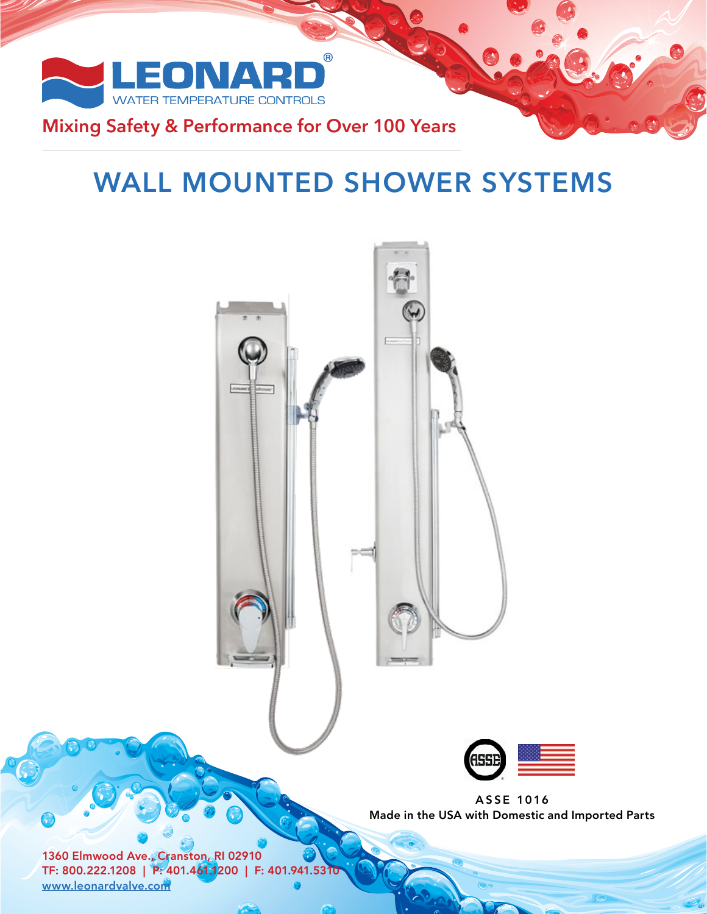

# **Mixing Safety & Performance for Over 100 Years**

# **WALL MOUNTED SHOWER SYSTEMS**



ASSE 1016 Made in the USA with Domestic and Imported Parts

1360 Elmwood Ave., Cranston, RI 02910 TF: 800.222.1208 | P: 401.461.1200 | F: 401.941.5310 www.leonardvalve.com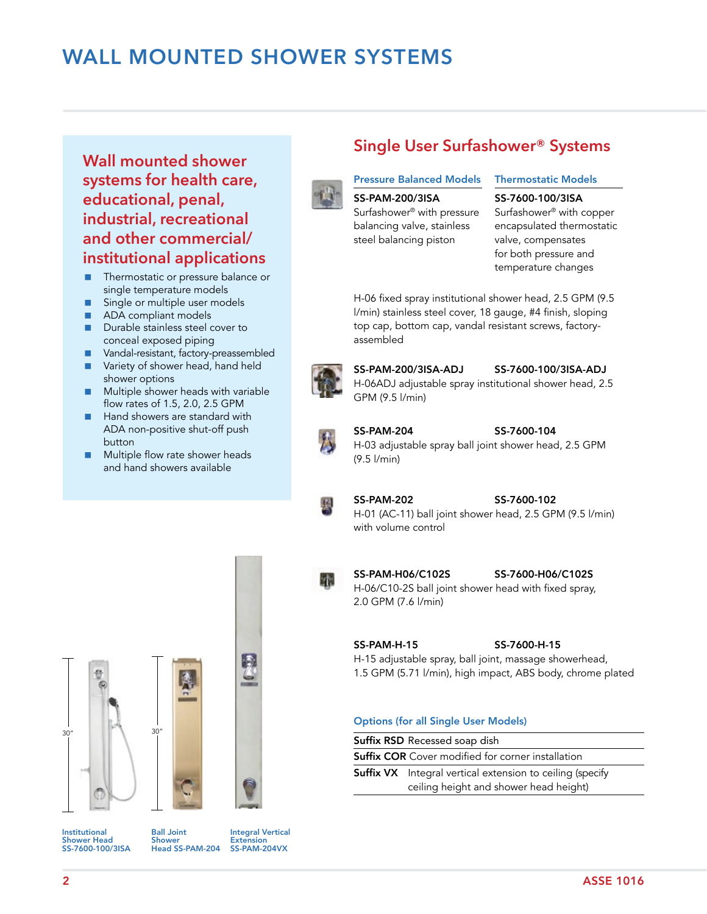# **WALL MOUNTED SHOWER SYSTEMS**

# **Wall mounted shower systems for health care, educational, penal, industrial, recreational and other commercial/ institutional applications**

- **Thermostatic or pressure balance or** single temperature models
- Single or multiple user models
- ADA compliant models
- **Durable stainless steel cover to** conceal exposed piping
- **Nandal-resistant, factory-preassembled**
- Variety of shower head, hand held shower options
- Multiple shower heads with variable flow rates of 1.5, 2.0, 2.5 GPM
- Hand showers are standard with ADA non-positive shut-off push button
- **Multiple flow rate shower heads** and hand showers available



# **Single User Surfashower® Systems**

#### Pressure Balanced Models

### SS-PAM-200/3ISA

Surfashower® with pressure balancing valve, stainless steel balancing piston

#### Thermostatic Models

#### SS-7600-100/3ISA

Surfashower® with copper encapsulated thermostatic valve, compensates for both pressure and temperature changes

H-06 fixed spray institutional shower head, 2.5 GPM (9.5 l/min) stainless steel cover, 18 gauge, #4 finish, sloping top cap, bottom cap, vandal resistant screws, factoryassembled



SS-PAM-200/3ISA-ADJ SS-7600-100/3ISA-ADJ H-06ADJ adjustable spray institutional shower head, 2.5 GPM (9.5 l/min)



#### SS-PAM-204 SS-7600-104 H-03 adjustable spray ball joint shower head, 2.5 GPM (9.5 l/min)



YP.

SS-PAM-202 SS-7600-102 H-01 (AC-11) ball joint shower head, 2.5 GPM (9.5 l/min) with volume control





Institutional Shower Head SS-7600-100/3ISA Ball Joint Shower Head SS-PAM-204

Integral Vertical Extension SS-PAM-204VX

SS-PAM-H06/C102S SS-7600-H06/C102S H-06/C10-2S ball joint shower head with fixed spray, 2.0 GPM (7.6 l/min)

SS-PAM-H-15 SS-7600-H-15 H-15 adjustable spray, ball joint, massage showerhead, 1.5 GPM (5.71 l/min), high impact, ABS body, chrome plated

#### Options (for all Single User Models)

Suffix RSD Recessed soap dish

Suffix COR Cover modified for corner installation

|                                        | <b>Suffix VX</b> Integral vertical extension to ceiling (specify |
|----------------------------------------|------------------------------------------------------------------|
| ceiling height and shower head height) |                                                                  |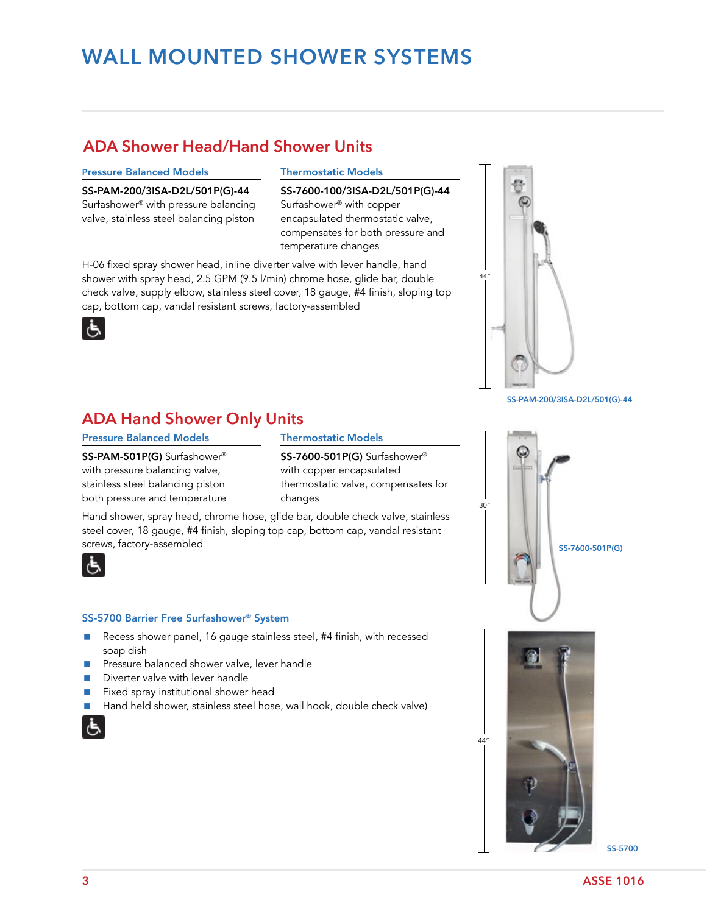# **WALL MOUNTED SHOWER SYSTEMS**

# **ADA Shower Head/Hand Shower Units**

#### Pressure Balanced Models Thermostatic Models

Surfashower<sup>®</sup> with pressure balancing Surfashower<sup>®</sup> with copper valve, stainless steel balancing piston encapsulated thermostatic valve,

SS-PAM-200/3ISA-D2L/501P(G)-44 SS-7600-100/3ISA-D2L/501P(G)-44 compensates for both pressure and temperature changes

H-06 fixed spray shower head, inline diverter valve with lever handle, hand shower with spray head, 2.5 GPM (9.5 l/min) chrome hose, glide bar, double check valve, supply elbow, stainless steel cover, 18 gauge, #4 finish, sloping top cap, bottom cap, vandal resistant screws, factory-assembled



SS-PAM-200/3ISA-D2L/501(G)-44



### **ADA Hand Shower Only Units**

### Pressure Balanced Models Thermostatic Models

with pressure balancing valve, with copper encapsulated both pressure and temperature changes

SS-PAM-501P(G) Surfashower® SS-7600-501P(G) Surfashower® stainless steel balancing piston thermostatic valve, compensates for

Hand shower, spray head, chrome hose, glide bar, double check valve, stainless steel cover, 18 gauge, #4 finish, sloping top cap, bottom cap, vandal resistant screws, factory-assembled



#### SS-5700 Barrier Free Surfashower® System

- Recess shower panel, 16 gauge stainless steel, #4 finish, with recessed soap dish
- Pressure balanced shower valve, lever handle
- Diverter valve with lever handle
- **Fixed spray institutional shower head**
- Hand held shower, stainless steel hose, wall hook, double check valve)



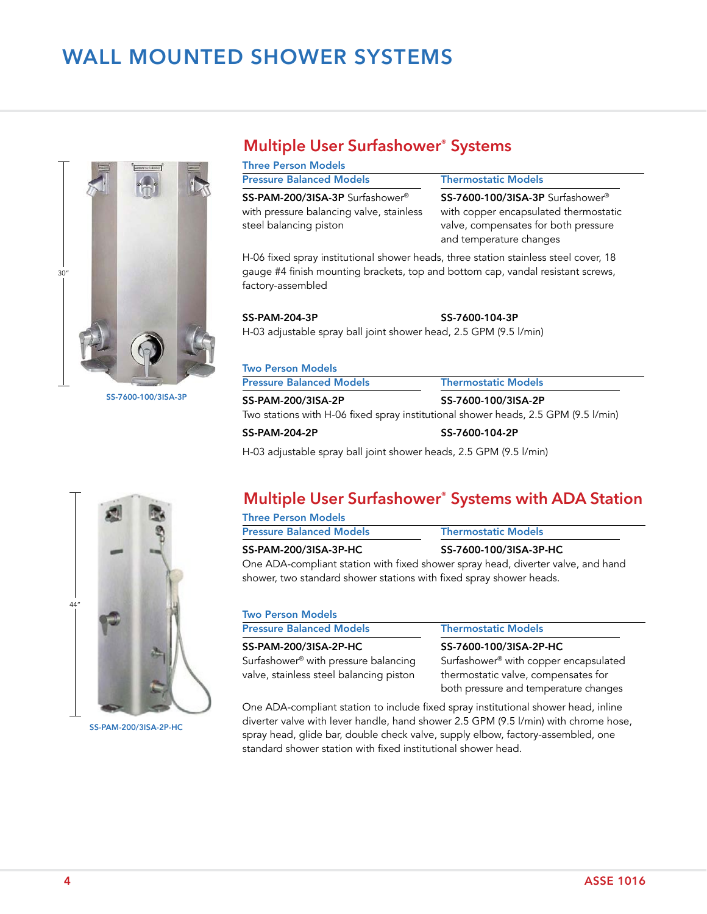# **WALL MOUNTED SHOWER SYSTEMS**



SS-7600-100/3ISA-3P

### **Multiple User Surfashower® Systems**

| <b>Three Person Models</b>                                                                                        |                                                                                                                                                          |  |  |
|-------------------------------------------------------------------------------------------------------------------|----------------------------------------------------------------------------------------------------------------------------------------------------------|--|--|
| <b>Pressure Balanced Models</b>                                                                                   | <b>Thermostatic Models</b>                                                                                                                               |  |  |
| SS-PAM-200/3ISA-3P Surfashower <sup>®</sup><br>with pressure balancing valve, stainless<br>steel balancing piston | SS-7600-100/3ISA-3P Surfashower <sup>®</sup><br>with copper encapsulated thermostatic<br>valve, compensates for both pressure<br>and temperature changes |  |  |
| H-06 fixed spray institutional shower heads, three station stainless steel cover, 18                              |                                                                                                                                                          |  |  |

gauge #4 finish mounting brackets, top and bottom cap, vandal resistant screws, factory-assembled

#### SS-PAM-204-3P SS-7600-104-3P

H-03 adjustable spray ball joint shower head, 2.5 GPM (9.5 l/min)

| <b>Pressure Balanced Models</b> | <b>Thermostatic Models</b>                                                         |
|---------------------------------|------------------------------------------------------------------------------------|
| SS-PAM-200/3ISA-2P              | SS-7600-100/3ISA-2P                                                                |
|                                 | Two stations with H-06 fixed spray institutional shower heads, 2.5 GPM (9.5 l/min) |
|                                 |                                                                                    |

H-03 adjustable spray ball joint shower heads, 2.5 GPM (9.5 l/min)

# **Multiple User Surfashower® Systems with ADA Station**

| <b>Three Person Models</b>      |                                                                                  |
|---------------------------------|----------------------------------------------------------------------------------|
| <b>Pressure Balanced Models</b> | <b>Thermostatic Models</b>                                                       |
| <b>SS-PAM-200/3ISA-3P-HC</b>    | SS-7600-100/3ISA-3P-HC                                                           |
|                                 | One ADA-compliant station with fixed shower spray head, diverter valve, and hand |

er spray nead, diverter valve, and shower, two standard shower stations with fixed spray shower heads.

| <b>Two Person Models</b>                |                                       |  |
|-----------------------------------------|---------------------------------------|--|
| <b>Pressure Balanced Models</b>         | <b>Thermostatic Models</b>            |  |
| <b>SS-PAM-200/3ISA-2P-HC</b>            | SS-7600-100/3ISA-2P-HC                |  |
| Surfashower® with pressure balancing    | Surfashower® with copper encapsulated |  |
| valve, stainless steel balancing piston | thermostatic valve, compensates for   |  |
|                                         | both pressure and temperature changes |  |

One ADA-compliant station to include fixed spray institutional shower head, inline diverter valve with lever handle, hand shower 2.5 GPM (9.5 l/min) with chrome hose, spray head, glide bar, double check valve, supply elbow, factory-assembled, one standard shower station with fixed institutional shower head.



SS-PAM-200/3ISA-2P-HC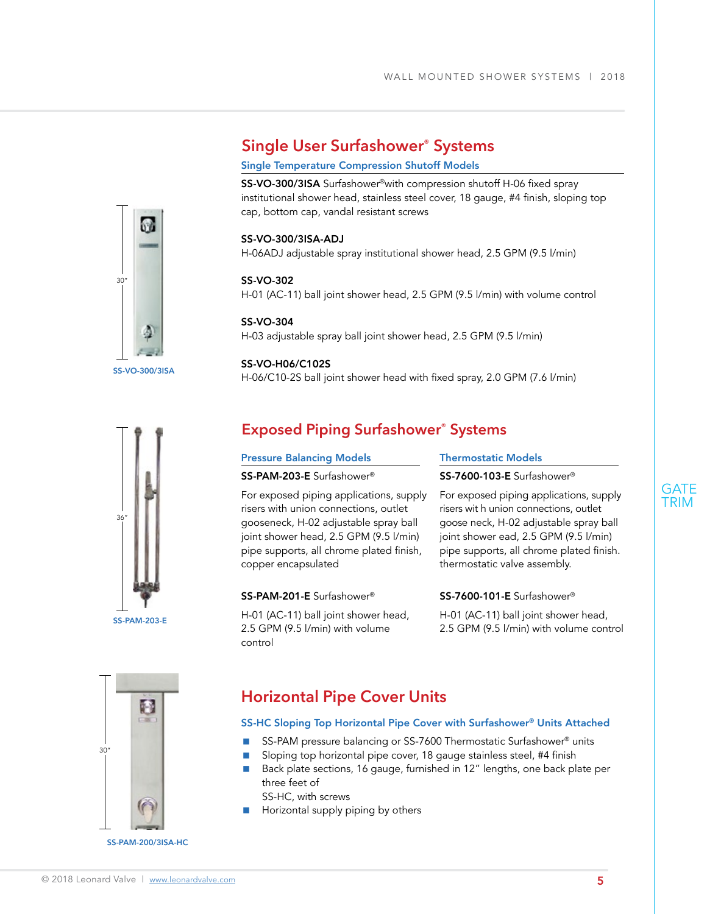# **Single User Surfashower® Systems**

#### Single Temperature Compression Shutoff Models

SS-VO-300/3ISA Surfashower®with compression shutoff H-06 fixed spray institutional shower head, stainless steel cover, 18 gauge, #4 finish, sloping top cap, bottom cap, vandal resistant screws

#### SS-VO-300/3ISA-ADJ

H-06ADJ adjustable spray institutional shower head, 2.5 GPM (9.5 l/min)

#### SS-VO-302 H-01 (AC-11) ball joint shower head, 2.5 GPM (9.5 l/min) with volume control

SS-VO-304 H-03 adjustable spray ball joint shower head, 2.5 GPM (9.5 l/min)

#### SS-VO-H06/C102S

H-06/C10-2S ball joint shower head with fixed spray, 2.0 GPM (7.6 l/min)



SS-VO-300/3ISA

ŵ

30"

# **Exposed Piping Surfashower® Systems**

| <b>Pressure Balancing Models</b>                                                                                                                                                                                                       | Thermostatic Models                                                                                                                                                                                                                              |  |
|----------------------------------------------------------------------------------------------------------------------------------------------------------------------------------------------------------------------------------------|--------------------------------------------------------------------------------------------------------------------------------------------------------------------------------------------------------------------------------------------------|--|
| SS-PAM-203-E Surfashower®                                                                                                                                                                                                              | SS-7600-103-E Surfashower <sup>®</sup>                                                                                                                                                                                                           |  |
| For exposed piping applications, supply<br>risers with union connections, outlet<br>gooseneck, H-02 adjustable spray ball<br>joint shower head, 2.5 GPM (9.5 l/min)<br>pipe supports, all chrome plated finish,<br>copper encapsulated | For exposed piping applications, supply<br>risers wit h union connections, outlet<br>goose neck, H-02 adjustable spray ball<br>joint shower ead, 2.5 GPM (9.5 l/min)<br>pipe supports, all chrome plated finish.<br>thermostatic valve assembly. |  |
| SS-PAM-201-E Surfashower <sup>®</sup>                                                                                                                                                                                                  | SS-7600-101-E Surfashower <sup>®</sup>                                                                                                                                                                                                           |  |
| H-01 (AC-11) ball joint shower head,                                                                                                                                                                                                   | H-01 (AC-11) ball joint shower head,                                                                                                                                                                                                             |  |

control

2.5 GPM (9.5 l/min) with volume 2.5 GPM (9.5 l/min) with volume control



## **Horizontal Pipe Cover Units**

#### SS-HC Sloping Top Horizontal Pipe Cover with Surfashower® Units Attached

- SS-PAM pressure balancing or SS-7600 Thermostatic Surfashower<sup>®</sup> units
- Sloping top horizontal pipe cover, 18 gauge stainless steel, #4 finish
- Back plate sections, 16 gauge, furnished in 12" lengths, one back plate per three feet of

SS-HC, with screws

 $\blacksquare$  Horizontal supply piping by others